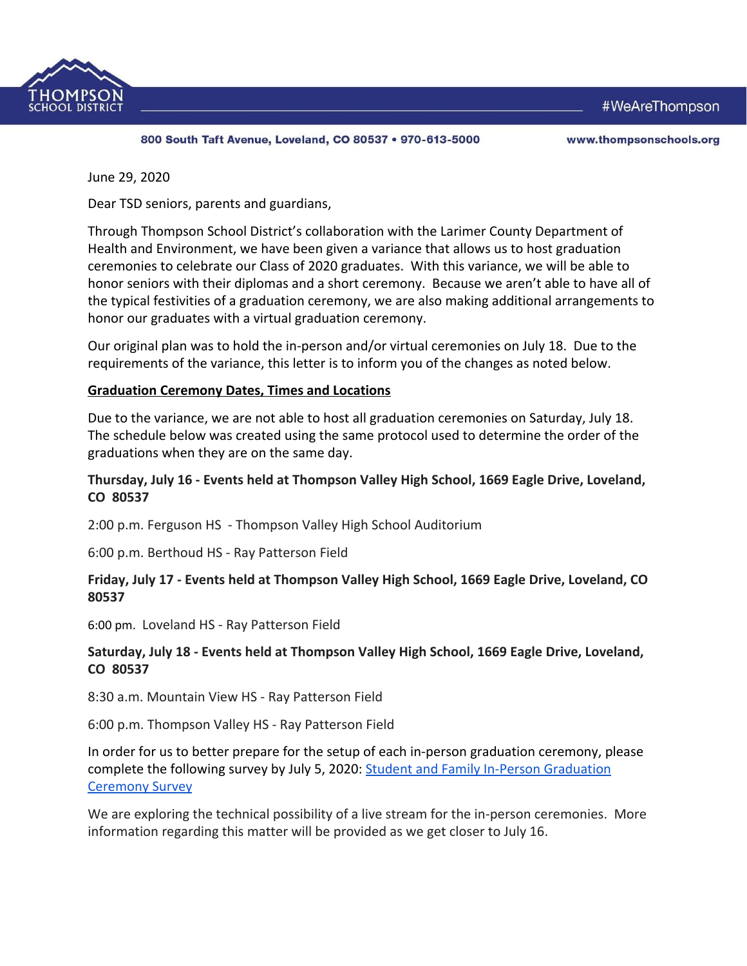



800 South Taft Avenue, Loveland, CO 80537 . 970-613-5000

www.thompsonschools.org

June 29, 2020

Dear TSD seniors, parents and guardians,

Through Thompson School District's collaboration with the Larimer County Department of Health and Environment, we have been given a variance that allows us to host graduation ceremonies to celebrate our Class of 2020 graduates. With this variance, we will be able to honor seniors with their diplomas and a short ceremony. Because we aren't able to have all of the typical festivities of a graduation ceremony, we are also making additional arrangements to honor our graduates with a virtual graduation ceremony.

Our original plan was to hold the in-person and/or virtual ceremonies on July 18. Due to the requirements of the variance, this letter is to inform you of the changes as noted below.

#### **Graduation Ceremony Dates, Times and Locations**

Due to the variance, we are not able to host all graduation ceremonies on Saturday, July 18. The schedule below was created using the same protocol used to determine the order of the graduations when they are on the same day.

### **Thursday, July 16 - Events held at Thompson Valley High School, 1669 Eagle Drive, Loveland, CO 80537**

2:00 p.m. Ferguson HS - Thompson Valley High School Auditorium

6:00 p.m. Berthoud HS - Ray Patterson Field

### **Friday, July 17 - Events held at Thompson Valley High School, 1669 Eagle Drive, Loveland, CO 80537**

6:00 pm. Loveland HS - Ray Patterson Field

### **Saturday, July 18 - Events held at Thompson Valley High School, 1669 Eagle Drive, Loveland, CO 80537**

8:30 a.m. Mountain View HS - Ray Patterson Field

6:00 p.m. Thompson Valley HS - Ray Patterson Field

In order for us to better prepare for the setup of each in-person graduation ceremony, please complete the following survey by July 5, 2020: [Student and Family In-Person Graduation](https://docs.google.com/forms/d/1na-CITMSyuWfr5lYCL2Img74-MRgLThcngHbzkAhd1c/edit?ts=5ede6e98) [Ceremony Survey](https://docs.google.com/forms/d/1na-CITMSyuWfr5lYCL2Img74-MRgLThcngHbzkAhd1c/edit?ts=5ede6e98)

We are exploring the technical possibility of a live stream for the in-person ceremonies. More information regarding this matter will be provided as we get closer to July 16.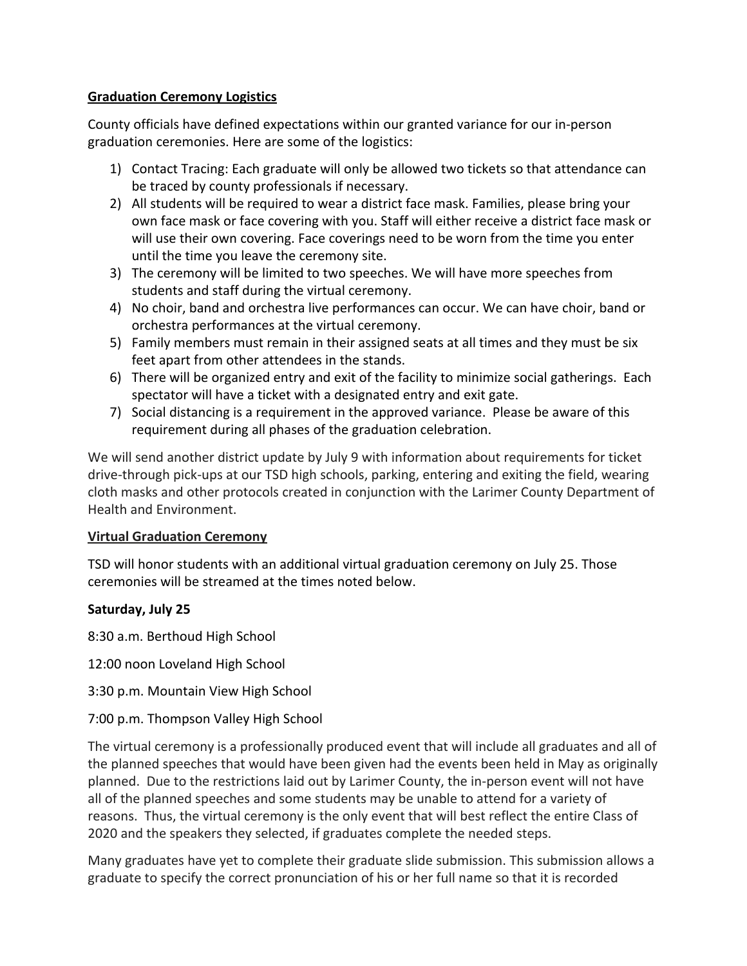## **Graduation Ceremony Logistics**

County officials have defined expectations within our granted variance for our in-person graduation ceremonies. Here are some of the logistics:

- 1) Contact Tracing: Each graduate will only be allowed two tickets so that attendance can be traced by county professionals if necessary.
- 2) All students will be required to wear a district face mask. Families, please bring your own face mask or face covering with you. Staff will either receive a district face mask or will use their own covering. Face coverings need to be worn from the time you enter until the time you leave the ceremony site.
- 3) The ceremony will be limited to two speeches. We will have more speeches from students and staff during the virtual ceremony.
- 4) No choir, band and orchestra live performances can occur. We can have choir, band or orchestra performances at the virtual ceremony.
- 5) Family members must remain in their assigned seats at all times and they must be six feet apart from other attendees in the stands.
- 6) There will be organized entry and exit of the facility to minimize social gatherings. Each spectator will have a ticket with a designated entry and exit gate.
- 7) Social distancing is a requirement in the approved variance. Please be aware of this requirement during all phases of the graduation celebration.

We will send another district update by July 9 with information about requirements for ticket drive-through pick-ups at our TSD high schools, parking, entering and exiting the field, wearing cloth masks and other protocols created in conjunction with the Larimer County Department of Health and Environment.

# **Virtual Graduation Ceremony**

TSD will honor students with an additional virtual graduation ceremony on July 25. Those ceremonies will be streamed at the times noted below.

# **Saturday, July 25**

8:30 a.m. Berthoud High School

12:00 noon Loveland High School

3:30 p.m. Mountain View High School

# 7:00 p.m. Thompson Valley High School

The virtual ceremony is a professionally produced event that will include all graduates and all of the planned speeches that would have been given had the events been held in May as originally planned. Due to the restrictions laid out by Larimer County, the in-person event will not have all of the planned speeches and some students may be unable to attend for a variety of reasons. Thus, the virtual ceremony is the only event that will best reflect the entire Class of 2020 and the speakers they selected, if graduates complete the needed steps.

Many graduates have yet to complete their graduate slide submission. This submission allows a graduate to specify the correct pronunciation of his or her full name so that it is recorded